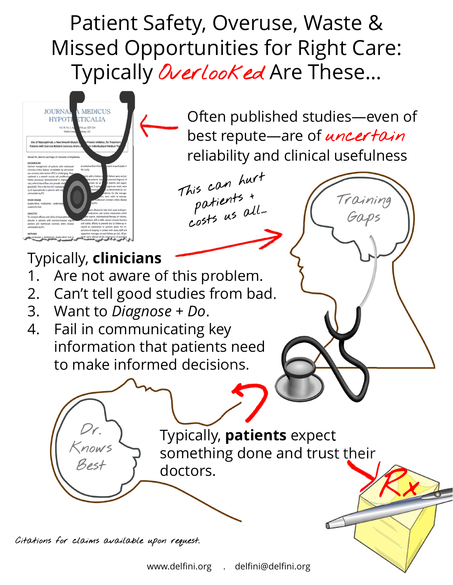## Patient Safety, Overuse, Waste & Missed Opportunities for Right Care: Typically Overlooked Are These...

This can hurt

his can hur!<br>patients +<br>costs us all...



Often published studies—even of best repute—are of *uncertain* reliability and clinical usefulness

Training

Gaps

Rx

Typically, **clinicians**

- 1. Are not aware of this problem.
- 2. Can't tell good studies from bad.
- 3. Want to *Diagnose + Do*.
- 4. Fail in communicating key information that patients need to make informed decisions.

Dr. Knows Best Typically, **patients** expect something done and trust their doctors.

Citations for claims available upon request.